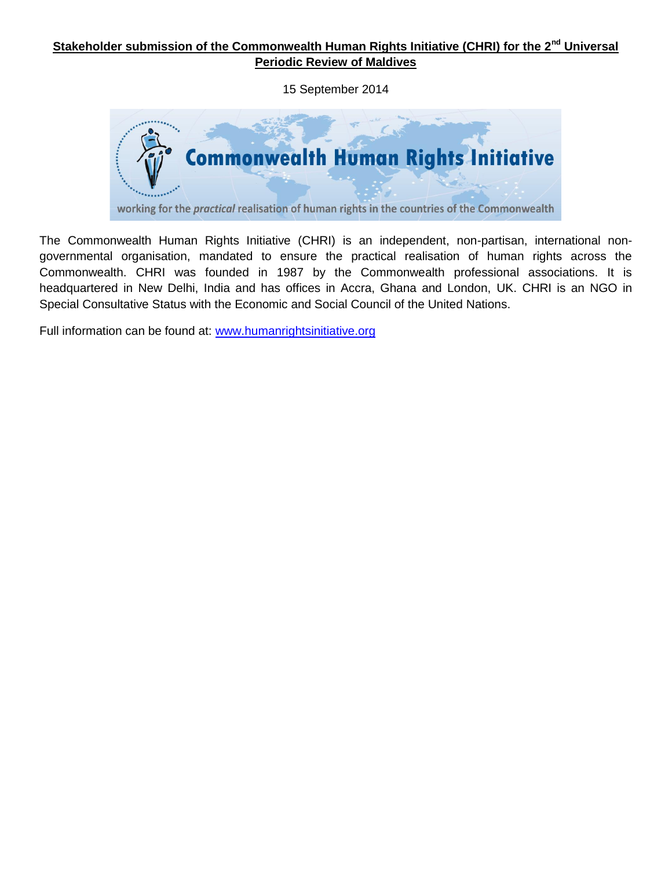# **Stakeholder submission of the Commonwealth Human Rights Initiative (CHRI) for the 2nd Universal Periodic Review of Maldives**

15 September 2014



The Commonwealth Human Rights Initiative (CHRI) is an independent, non-partisan, international nongovernmental organisation, mandated to ensure the practical realisation of human rights across the Commonwealth. CHRI was founded in 1987 by the Commonwealth professional associations. It is headquartered in New Delhi, India and has offices in Accra, Ghana and London, UK. CHRI is an NGO in Special Consultative Status with the Economic and Social Council of the United Nations.

Full information can be found at: [www.humanrightsinitiative.org](http://www.humanrightsinitiative.org/)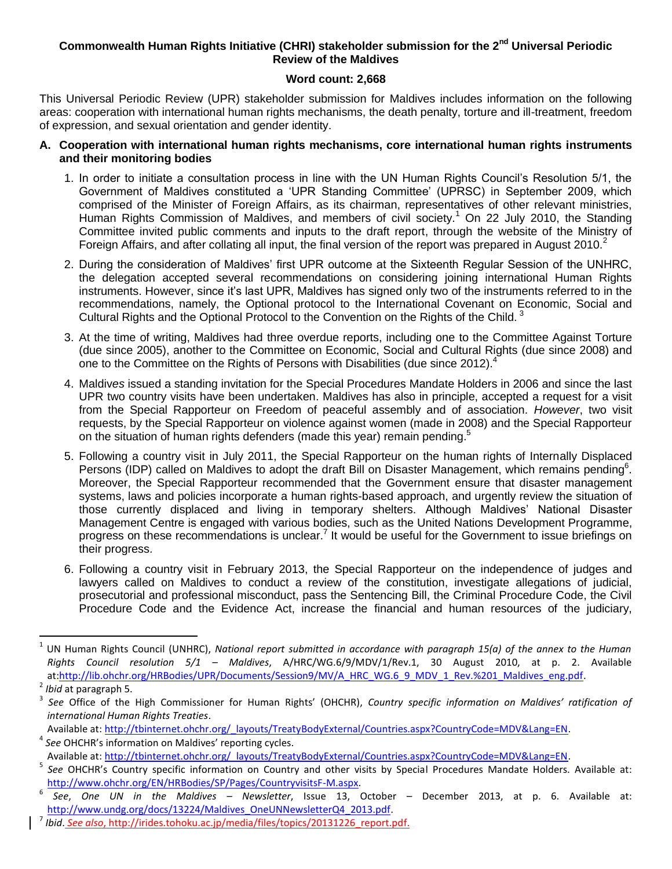### **Commonwealth Human Rights Initiative (CHRI) stakeholder submission for the 2nd Universal Periodic Review of the Maldives**

#### **Word count: 2,668**

This Universal Periodic Review (UPR) stakeholder submission for Maldives includes information on the following areas: cooperation with international human rights mechanisms, the death penalty, torture and ill-treatment, freedom of expression, and sexual orientation and gender identity.

- **A. Cooperation with international human rights mechanisms, core international human rights instruments and their monitoring bodies**
	- 1. In order to initiate a consultation process in line with the UN Human Rights Council's Resolution 5/1, the Government of Maldives constituted a 'UPR Standing Committee' (UPRSC) in September 2009, which comprised of the Minister of Foreign Affairs, as its chairman, representatives of other relevant ministries, Human Rights Commission of Maldives, and members of civil society.<sup>1</sup> On 22 July 2010, the Standing Committee invited public comments and inputs to the draft report, through the website of the Ministry of Foreign Affairs, and after collating all input, the final version of the report was prepared in August 2010. $2$
	- 2. During the consideration of Maldives' first UPR outcome at the Sixteenth Regular Session of the UNHRC, the delegation accepted several recommendations on considering joining international Human Rights instruments. However, since it's last UPR, Maldives has signed only two of the instruments referred to in the recommendations, namely, the Optional protocol to the International Covenant on Economic, Social and Cultural Rights and the Optional Protocol to the Convention on the Rights of the Child.<sup>3</sup>
	- 3. At the time of writing, Maldives had three overdue reports, including one to the Committee Against Torture (due since 2005), another to the Committee on Economic, Social and Cultural Rights (due since 2008) and one to the Committee on the Rights of Persons with Disabilities (due since 2012).
	- 4. Maldiv*es* issued a standing invitation for the Special Procedures Mandate Holders in 2006 and since the last UPR two country visits have been undertaken. Maldives has also in principle, accepted a request for a visit from the Special Rapporteur on Freedom of peaceful assembly and of association*. However*, two visit requests, by the Special Rapporteur on violence against women (made in 2008) and the Special Rapporteur on the situation of human rights defenders (made this year) remain pending.<sup>5</sup>
	- 5. Following a country visit in July 2011, the Special Rapporteur on the human rights of Internally Displaced Persons (IDP) called on Maldives to adopt the draft Bill on Disaster Management, which remains pending<sup>6</sup>. Moreover, the Special Rapporteur recommended that the Government ensure that disaster management systems, laws and policies incorporate a human rights-based approach, and urgently review the situation of those currently displaced and living in temporary shelters. Although Maldives' National Disaster Management Centre is engaged with various bodies, such as the United Nations Development Programme, progress on these recommendations is unclear.<sup>7</sup> It would be useful for the Government to issue briefings on their progress.
	- 6. Following a country visit in February 2013, the Special Rapport*e*ur on the independence of judges and lawyers called on Maldives to conduct a review of the constitution, investigate allegations of judicial, prosecutorial and professional misconduct, pass the Sentencing Bill, the Criminal Procedure Code, the Civil Procedure Code and the Evidence Act, increase the financial and human resources of the judiciary,

 $\overline{\phantom{a}}$ 

Available at: [http://tbinternet.ohchr.org/\\_layouts/TreatyBodyExternal/Countries.aspx?CountryCode=MDV&Lang=EN.](http://tbinternet.ohchr.org/_layouts/TreatyBodyExternal/Countries.aspx?CountryCode=MDV&Lang=EN) 4 *See* OHCHR's information on Maldives' reporting cycles.

<sup>&</sup>lt;sup>1</sup> UN Human Rights Council (UNHRC), *National report submitted in accordance with paragraph 15(a) of the annex to the Human Rights Council resolution 5/1 – Maldives*, A/HRC/WG.6/9/MDV/1/Rev.1, 30 August 2010, at p. 2. Available at[:http://lib.ohchr.org/HRBodies/UPR/Documents/Session9/MV/A\\_HRC\\_WG.6\\_9\\_MDV\\_1\\_Rev.%201\\_Maldives\\_eng.pdf.](http://lib.ohchr.org/HRBodies/UPR/Documents/Session9/MV/A_HRC_WG.6_9_MDV_1_Rev.%201_Maldives_eng.pdf)

 $^2$  *Ibid* at paragraph 5.<br> $^3$  See Office of the

*See* Office of the High Commissioner for Human Rights' (OHCHR), *Country specific information on Maldives' ratification of international Human Rights Treaties*.

Available at: [http://tbinternet.ohchr.org/\\_layouts/TreatyBodyExternal/Countries.aspx?CountryCode=MDV&Lang=EN.](http://tbinternet.ohchr.org/_layouts/TreatyBodyExternal/Countries.aspx?CountryCode=MDV&Lang=EN)

<sup>5</sup> *See* OHCHR's Country specific information on Country and other visits by Special Procedures Mandate Holders. Available at: [http://www.ohchr.org/EN/HRBodies/SP/Pages/CountryvisitsF-M.aspx.](http://www.ohchr.org/EN/HRBodies/SP/Pages/CountryvisitsF-M.aspx)

<sup>6</sup> *See*, *One UN in the Maldives – Newsletter*, Issue 13, October – December 2013, at p. 6. Available at: [http://www.undg.org/docs/13224/Maldives\\_OneUNNewsletterQ4\\_2013.pdf.](http://www.undg.org/docs/13224/Maldives_OneUNNewsletterQ4_2013.pdf)

<sup>7</sup> *Ibid*. *See also*, [http://irides.tohoku.ac.jp/media/files/topics/20131226\\_report.pdf.](http://irides.tohoku.ac.jp/media/files/topics/20131226_report.pdf)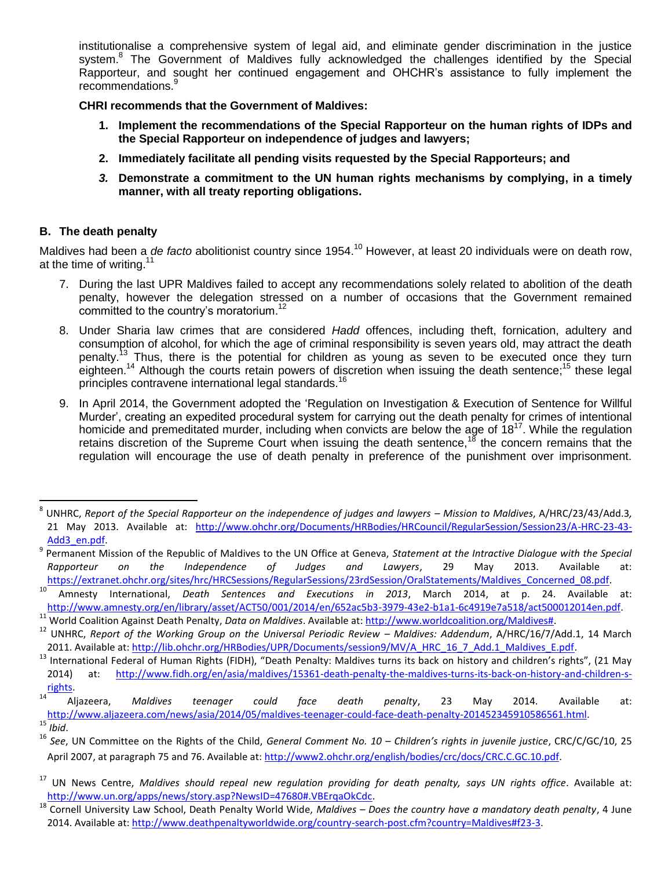institutionalise a comprehensive system of legal aid, and eliminate gender discrimination in the justice system.<sup>8</sup> The Government of Maldives fully acknowledged the challenges identified by the Special Rapporteur, and sought her continued engagement and OHCHR's assistance to fully implement the recommendations.<sup>9</sup>

#### **CHRI recommends that the Government of Maldives:**

- **1. Implement the recommendations of the Special Rapporteur on the human rights of IDPs and the Special Rapporteur on independence of judges and lawyers;**
- **2. Immediately facilitate all pending visits requested by the Special Rapporteurs; and**
- *3.* **Demonstrate a commitment to the UN human rights mechanisms by complying, in a timely manner, with all treaty reporting obligations.**

### **B. The death penalty**

l

Maldives had been a *de facto* abolitionist country since 1954.<sup>10</sup> However, at least 20 individuals were on death row, at the time of writing.<sup>11</sup>

- 7. During the last UPR Maldives failed to accept any recommendations solely related to abolition of the death penalty, however the delegation stressed on a number of occasions that the Government remained committed to the country's moratorium.<sup>12</sup>
- 8. Under Sharia law crimes that are considered *Hadd* offences, including theft, fornication, adultery and consumption of alcohol, for which the age of criminal responsibility is seven years old, may attract the death penalty.<sup>13</sup> Thus, there is the potential for children as young as seven to be executed once they turn eighteen.<sup>14</sup> Although the courts retain powers of discretion when issuing the death sentence;<sup>15</sup> these legal principles contravene international legal standards.<sup>16</sup>
- 9. In April 2014, the Government adopted the 'Regulation on Investigation & Execution of Sentence for Willful Murder', creating an expedited procedural system for carrying out the death penalty for crimes of intentional homicide and premeditated murder, including when convicts are below the age of  $18^{17}$ . While the regulation retains discretion of the Supreme Court when issuing the death sentence,  $18$  the concern remains that the regulation will encourage the use of death penalty in preference of the punishment over imprisonment.

 $^8$  UNHRC, *Report of the Special Rapporteur on the independence of judges and lawyers – Mission to Maldives, A/HRC/23/43/Add.3,* 21 May 2013. Available at: [http://www.ohchr.org/Documents/HRBodies/HRCouncil/RegularSession/Session23/A-HRC-23-43-](http://www.ohchr.org/Documents/HRBodies/HRCouncil/RegularSession/Session23/A-HRC-23-43-Add3_en.pdf) [Add3\\_en.pdf.](http://www.ohchr.org/Documents/HRBodies/HRCouncil/RegularSession/Session23/A-HRC-23-43-Add3_en.pdf)

<sup>9</sup> Permanent Mission of the Republic of Maldives to the UN Office at Geneva, *Statement at the Intractive Dialogue with the Special Rapporteur on the Independence of Judges and Lawyers*, 29 May 2013. Available at: [https://extranet.ohchr.org/sites/hrc/HRCSessions/RegularSessions/23rdSession/OralStatements/Maldives\\_Concerned\\_08.pdf.](https://extranet.ohchr.org/sites/hrc/HRCSessions/RegularSessions/23rdSession/OralStatements/Maldives_Concerned_08.pdf) 

<sup>10</sup> Amnesty International, *Death Sentences and Executions in 2013*, March 2014, at p. 24. Available at: [http://www.amnesty.org/en/library/asset/ACT50/001/2014/en/652ac5b3-3979-43e2-b1a1-6c4919e7a518/act500012014en.pdf.](http://www.amnesty.org/en/library/asset/ACT50/001/2014/en/652ac5b3-3979-43e2-b1a1-6c4919e7a518/act500012014en.pdf) <sup>11</sup> World Coalition Against Death Penalty, *Data on Maldives*. Available at: [http://www.worldcoalition.org/Maldives#.](http://www.worldcoalition.org/Maldives)

<sup>&</sup>lt;sup>12</sup> UNHRC, *Report of the Working Group on the Universal Periodic Review – Maldives: Addendum, A/HRC/16/7/Add.1, 14 March* 2011. Available at[: http://lib.ohchr.org/HRBodies/UPR/Documents/session9/MV/A\\_HRC\\_16\\_7\\_Add.1\\_Maldives\\_E.pdf.](http://lib.ohchr.org/HRBodies/UPR/Documents/session9/MV/A_HRC_16_7_Add.1_Maldives_E.pdf)

<sup>13</sup> International Federal of Human Rights (FIDH), "Death Penalty: Maldives turns its back on history and children's rights", (21 May 2014) at: [http://www.fidh.org/en/asia/maldives/15361-death-penalty-the-maldives-turns-its-back-on-history-and-children-s](http://www.fidh.org/en/asia/maldives/15361-death-penalty-the-maldives-turns-its-back-on-history-and-children-s-rights)[rights.](http://www.fidh.org/en/asia/maldives/15361-death-penalty-the-maldives-turns-its-back-on-history-and-children-s-rights)

<sup>14</sup> Aljazeera, *Maldives teenager could face death penalty*, 23 May 2014. Available at: [http://www.aljazeera.com/news/asia/2014/05/maldives-teenager-could-face-death-penalty-201452345910586561.html.](http://www.aljazeera.com/news/asia/2014/05/maldives-teenager-could-face-death-penalty-201452345910586561.html)<br><sup>15</sup> Ibid <sup>15</sup> *Ibid*.

<sup>16</sup> *See*, UN Committee on the Rights of the Child, *General Comment No. 10 – Children's rights in juvenile justice*, CRC/C/GC/10, 25 April 2007, at paragraph 75 and 76. Available at: [http://www2.ohchr.org/english/bodies/crc/docs/CRC.C.GC.10.pdf.](http://www2.ohchr.org/english/bodies/crc/docs/CRC.C.GC.10.pdf)

<sup>17</sup> UN News Centre, *Maldives should repeal new regulation providing for death penalty, says UN rights office*. Available at: [http://www.un.org/apps/news/story.asp?NewsID=47680#.VBErqaOkCdc.](http://www.un.org/apps/news/story.asp?NewsID=47680#.VBErqaOkCdc) 

<sup>18</sup> Cornell University Law School, Death Penalty World Wide, *Maldives – Does the country have a mandatory death penalty*, 4 June 2014. Available at[: http://www.deathpenaltyworldwide.org/country-search-post.cfm?country=Maldives#f23-3.](http://www.deathpenaltyworldwide.org/country-search-post.cfm?country=Maldives#f23-3)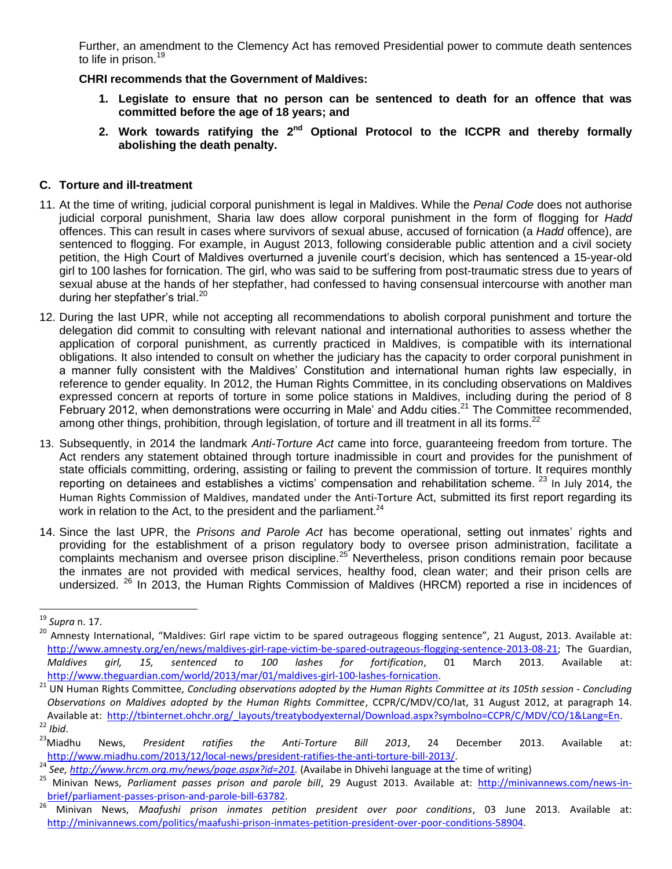Further, an amendment to the Clemency Act has removed Presidential power to commute death sentences to life in prison.<sup>19</sup>

**CHRI recommends that the Government of Maldives:**

- **1. Legislate to ensure that no person can be sentenced to death for an offence that was committed before the age of 18 years; and**
- **2. Work towards ratifying the 2nd Optional Protocol to the ICCPR and thereby formally abolishing the death penalty.**

### **C. Torture and ill-treatment**

- 11. At the time of writing, judicial corporal punishment is legal in Maldives. While the *Penal Code* does not authorise judicial corporal punishment, Sharia law does allow corporal punishment in the form of flogging for *Hadd* offences. This can result in cases where survivors of sexual abuse, accused of fornication (a *Hadd* offence), are sentenced to flogging. For example, in August 2013, following considerable public attention and a civil society petition, the High Court of Maldives overturned a juvenile court's decision, which has sentenced a 15-year-old girl to 100 lashes for fornication. The girl, who was said to be suffering from post-traumatic stress due to years of sexual abuse at the hands of her stepfather, had confessed to having consensual intercourse with another man during her stepfather's trial.<sup>20</sup>
- 12. During the last UPR, while not accepting all recommendations to abolish corporal punishment and torture the delegation did commit to consulting with relevant national and international authorities to assess whether the application of corporal punishment, as currently practiced in Maldives, is compatible with its international obligations. It also intended to consult on whether the judiciary has the capacity to order corporal punishment in a manner fully consistent with the Maldives' Constitution and international human rights law especially, in reference to gender equality. In 2012, the Human Rights Committee, in its concluding observations on Maldives expressed concern at reports of torture in some police stations in Maldives, including during the period of 8 February 2012, when demonstrations were occurring in Male' and Addu cities.<sup>21</sup> The Committee recommended, among other things, prohibition, through legislation, of torture and ill treatment in all its forms.<sup>22</sup>
- 13. Subsequently, in 2014 the landmark *Anti-Torture Act* came into force, guaranteeing freedom from torture. The Act renders any statement obtained through torture inadmissible in court and provides for the punishment of state officials committing, ordering, assisting or failing to prevent the commission of torture. It requires monthly reporting on detainees and establishes a victims' compensation and rehabilitation scheme. <sup>23</sup> In July 2014, the Human Rights Commission of Maldives, mandated under the Anti-Torture Act, submitted its first report regarding its work in relation to the Act, to the president and the parliament.<sup>24</sup>
- 14. Since the last UPR, the *Prisons and Parole Act* has become operational, setting out inmates' rights and providing for the establishment of a prison regulatory body to oversee prison administration, facilitate a complaints mechanism and oversee prison discipline.<sup>25</sup> Nevertheless, prison conditions remain poor because the inmates are not provided with medical services, healthy food, clean water; and their prison cells are undersized. <sup>26</sup> In 2013, the Human Rights Commission of Maldives (HRCM) reported a rise in incidences of

l

<sup>19</sup> *Supra* n. 17.

<sup>&</sup>lt;sup>20</sup> Amnesty International, "Maldives: Girl rape victim to be spared outrageous flogging sentence", 21 August, 2013. Available at: [http://www.amnesty.org/en/news/maldives-girl-rape-victim-be-spared-outrageous-flogging-sentence-2013-08-21;](http://www.amnesty.org/en/news/maldives-girl-rape-victim-be-spared-outrageous-flogging-sentence-2013-08-21) The Guardian, *Maldives girl, 15, sentenced to 100 lashes for fortification*, 01 March 2013. Available at: [http://www.theguardian.com/world/2013/mar/01/maldives-girl-100-lashes-fornication.](http://www.theguardian.com/world/2013/mar/01/maldives-girl-100-lashes-fornication)

<sup>21</sup> UN Human Rights Committee, *Concluding observations adopted by the Human Rights Committee at its 105th session - Concluding Observations on Maldives adopted by the Human Rights Committee*, CCPR/C/MDV/CO/Iat, 31 August 2012, at paragraph 14. Available at: [http://tbinternet.ohchr.org/\\_layouts/treatybodyexternal/Download.aspx?symbolno=CCPR/C/MDV/CO/1&Lang=En.](http://tbinternet.ohchr.org/_layouts/treatybodyexternal/Download.aspx?symbolno=CCPR/C/MDV/CO/1&Lang=En) <sup>22</sup> *Ibid*.<br><sup>23</sup> Miadhu

<sup>23</sup>Miadhu News, *President ratifies the Anti-Torture Bill 2013*, 24 December 2013. Available at: [http://www.miadhu.com/2013/12/local-news/president-ratifies-the-anti-torture-bill-2013/.](http://www.miadhu.com/2013/12/local-news/president-ratifies-the-anti-torture-bill-2013/)

<sup>&</sup>lt;sup>24</sup> *See*, *http://www.hrcm.org.mv/news/page.aspx?id=201*. (Availabe in Dhivehi language at the time of writing)<br><sup>25</sup> Minivan News, *Parliament nasses prison and parole bill* 29 August 2013, Available at: http://miniv

<sup>25</sup> Minivan News, *Parliament passes prison and parole bill*, 29 August 2013. Available at: [http://minivannews.com/news-in](http://minivannews.com/news-in-brief/parliament-passes-prison-and-parole-bill-63782)[brief/parliament-passes-prison-and-parole-bill-63782.](http://minivannews.com/news-in-brief/parliament-passes-prison-and-parole-bill-63782)

<sup>26</sup> Minivan News, *Maafushi prison inmates petition president over poor conditions*, 03 June 2013. Available at: [http://minivannews.com/politics/maafushi-prison-inmates-petition-president-over-poor-conditions-58904.](http://minivannews.com/politics/maafushi-prison-inmates-petition-president-over-poor-conditions-58904)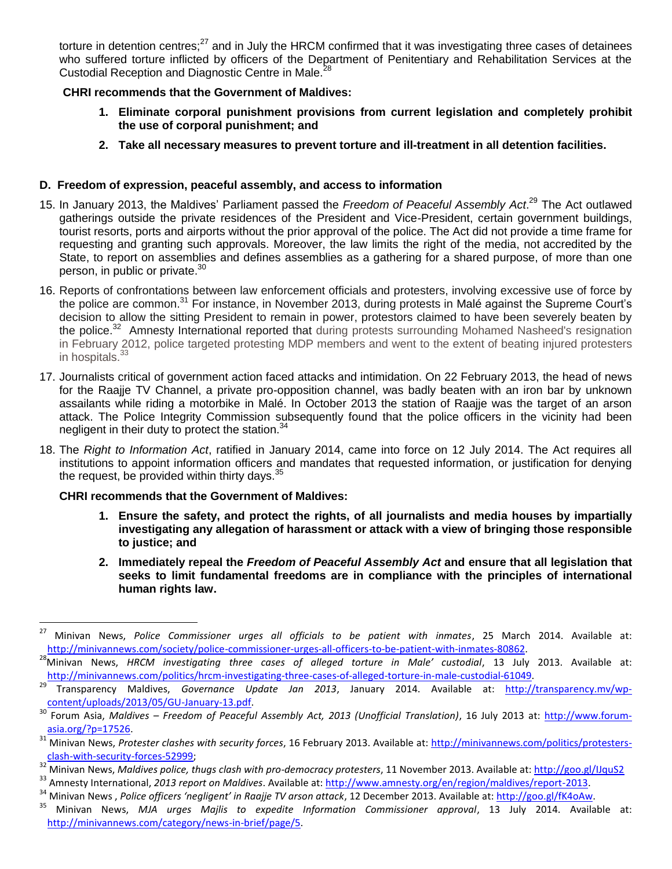torture in detention centres; $27$  and in July the HRCM confirmed that it was investigating three cases of detainees who suffered torture inflicted by officers of the Department of Penitentiary and Rehabilitation Services at the Custodial Reception and Diagnostic Centre in Male.<sup>2</sup>

### **CHRI recommends that the Government of Maldives:**

- **1. Eliminate corporal punishment provisions from current legislation and completely prohibit the use of corporal punishment; and**
- **2. Take all necessary measures to prevent torture and ill-treatment in all detention facilities.**

## **D. Freedom of expression, peaceful assembly, and access to information**

- 15. In January 2013, the Maldives' Parliament passed the *Freedom of Peaceful Assembly Act*. <sup>29</sup> The Act outlawed gatherings outside the private residences of the President and Vice-President, certain government buildings, tourist resorts, ports and airports without the prior approval of the police. The Act did not provide a time frame for requesting and granting such approvals. Moreover, the law limits the right of the media, not accredited by the State, to report on assemblies and defines assemblies as a gathering for a shared purpose, of more than one person, in public or private.<sup>30</sup>
- 16. Reports of confrontations between law enforcement officials and protesters, involving excessive use of force by the police are common.<sup>31</sup> For instance, in November 2013, during protests in Malé against the Supreme Court's decision to allow the sitting President to remain in power, protestors claimed to have been severely beaten by the police.<sup>32</sup> Amnesty International reported that during protests surrounding Mohamed Nasheed's resignation in February 2012, police targeted protesting MDP members and went to the extent of beating injured protesters in hospitals.<sup>3</sup>
- 17. Journalists critical of government action faced attacks and intimidation. On 22 February 2013, the head of news for the Raajje TV Channel, a private pro-opposition channel, was badly beaten with an iron bar by unknown assailants while riding a motorbike in Malé. In October 2013 the station of Raajje was the target of an arson attack. The Police Integrity Commission subsequently found that the police officers in the vicinity had been negligent in their duty to protect the station.<sup>34</sup>
- 18. The *Right to Information Act*, ratified in January 2014, came into force on 12 July 2014. The Act requires all institutions to appoint information officers and mandates that requested information, or justification for denying the request, be provided within thirty days. $35$

### **CHRI recommends that the Government of Maldives:**

- **1. Ensure the safety, and protect the rights, of all journalists and media houses by impartially investigating any allegation of harassment or attack with a view of bringing those responsible to justice; and**
- **2. Immediately repeal the** *Freedom of Peaceful Assembly Act* **and ensure that all legislation that seeks to limit fundamental freedoms are in compliance with the principles of international human rights law.**

 $27$ <sup>27</sup> Minivan News, *Police Commissioner urges all officials to be patient with inmates*, 25 March 2014. Available at: [http://minivannews.com/society/police-commissioner-urges-all-officers-to-be-patient-with-inmates-80862.](http://minivannews.com/society/police-commissioner-urges-all-officers-to-be-patient-with-inmates-80862)

<sup>28</sup>Minivan News, *HRCM investigating three cases of alleged torture in Male' custodial*, 13 July 2013. Available at: [http://minivannews.com/politics/hrcm-investigating-three-cases-of-alleged-torture-in-male-custodial-61049.](http://minivannews.com/politics/hrcm-investigating-three-cases-of-alleged-torture-in-male-custodial-61049)<br>29 Transparency, Maldives, Gevernance, Undate, Jan. 2012, January 2014, Available at: http://

<sup>29</sup> Transparency Maldives, *Governance Update Jan 2013*, January 2014. Available at: [http://transparency.mv/wp](http://transparency.mv/wp-content/uploads/2013/05/GU-January-13.pdf)[content/uploads/2013/05/GU-January-13.pdf.](http://transparency.mv/wp-content/uploads/2013/05/GU-January-13.pdf)

<sup>30</sup> Forum Asia, *Maldives – Freedom of Peaceful Assembly Act, 2013 (Unofficial Translation)*, 16 July 2013 at: [http://www.forum](http://www.forum-asia.org/?p=17526)[asia.org/?p=17526.](http://www.forum-asia.org/?p=17526)

<sup>31</sup> Minivan News, *Protester clashes with security forces*, 16 February 2013. Available at: [http://minivannews.com/politics/protesters](http://minivannews.com/politics/protesters-clash-with-security-forces-52999)[clash-with-security-forces-52999;](http://minivannews.com/politics/protesters-clash-with-security-forces-52999)

<sup>32</sup> Minivan News, *Maldives police, thugs clash with pro-democracy protesters*, 11 November 2013. Available at:<http://goo.gl/IJquS2>

<sup>&</sup>lt;sup>33</sup> Amnesty International, *2013 report on Maldives*. Available at: [http://www.amnesty.org/en/region/maldives/report-2013.](http://www.amnesty.org/en/region/maldives/report-2013)<br><sup>34</sup> Minivan News *Police officers (perligent' in Bagjie TV grson attack 12 December 2013, Availab* 

<sup>&</sup>lt;sup>34</sup> Minivan News , *Police officers 'negligent' in Raajje TV arson attack*, 12 December 2013. Available at: http://goo.gl/fK4oAw.<br><sup>35</sup> Minivan News , M14, urges Mailis, to expedite Information Commissioner, annroyal, 13,

<sup>35</sup> Minivan News, *MJA urges Majlis to expedite Information Commissioner approval*, 13 July 2014. Available at: [http://minivannews.com/category/news-in-brief/page/5.](http://minivannews.com/category/news-in-brief/page/5)